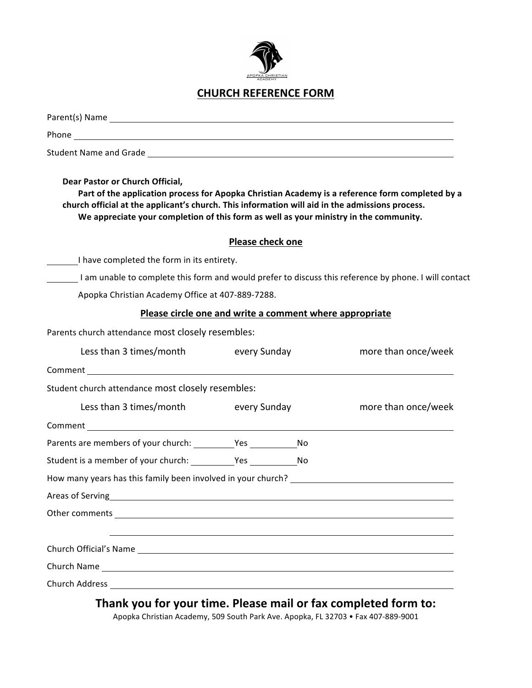

## **CHURCH REFERENCE FORM**

| Dear Pastor or Church Official,<br>Part of the application process for Apopka Christian Academy is a reference form completed by a<br>church official at the applicant's church. This information will aid in the admissions process.<br>We appreciate your completion of this form as well as your ministry in the community. |                  |  |                                                                                                       |
|--------------------------------------------------------------------------------------------------------------------------------------------------------------------------------------------------------------------------------------------------------------------------------------------------------------------------------|------------------|--|-------------------------------------------------------------------------------------------------------|
|                                                                                                                                                                                                                                                                                                                                | Please check one |  |                                                                                                       |
| I have completed the form in its entirety.                                                                                                                                                                                                                                                                                     |                  |  |                                                                                                       |
|                                                                                                                                                                                                                                                                                                                                |                  |  | I am unable to complete this form and would prefer to discuss this reference by phone. I will contact |
| Apopka Christian Academy Office at 407-889-7288.                                                                                                                                                                                                                                                                               |                  |  |                                                                                                       |
| Please circle one and write a comment where appropriate                                                                                                                                                                                                                                                                        |                  |  |                                                                                                       |
| Parents church attendance most closely resembles:                                                                                                                                                                                                                                                                              |                  |  |                                                                                                       |
| Less than 3 times/month every Sunday                                                                                                                                                                                                                                                                                           |                  |  | more than once/week                                                                                   |
|                                                                                                                                                                                                                                                                                                                                |                  |  |                                                                                                       |
| Student church attendance most closely resembles:                                                                                                                                                                                                                                                                              |                  |  |                                                                                                       |
| Less than 3 times/month                                                                                                                                                                                                                                                                                                        | every Sunday     |  | more than once/week                                                                                   |
|                                                                                                                                                                                                                                                                                                                                |                  |  |                                                                                                       |
|                                                                                                                                                                                                                                                                                                                                |                  |  |                                                                                                       |
| Student is a member of your church: Yes No                                                                                                                                                                                                                                                                                     |                  |  |                                                                                                       |
| How many years has this family been involved in your church?                                                                                                                                                                                                                                                                   |                  |  |                                                                                                       |
| Areas of Serving                                                                                                                                                                                                                                                                                                               |                  |  |                                                                                                       |
|                                                                                                                                                                                                                                                                                                                                |                  |  |                                                                                                       |
|                                                                                                                                                                                                                                                                                                                                |                  |  |                                                                                                       |
|                                                                                                                                                                                                                                                                                                                                |                  |  |                                                                                                       |
|                                                                                                                                                                                                                                                                                                                                |                  |  |                                                                                                       |
| and the property of the computer and the                                                                                                                                                                                                                                                                                       |                  |  | and the contract of the company of the state of the                                                   |

Thank you for your time. Please mail or fax completed form to:

Apopka Christian Academy, 509 South Park Ave. Apopka, FL 32703 • Fax 407-889-9001